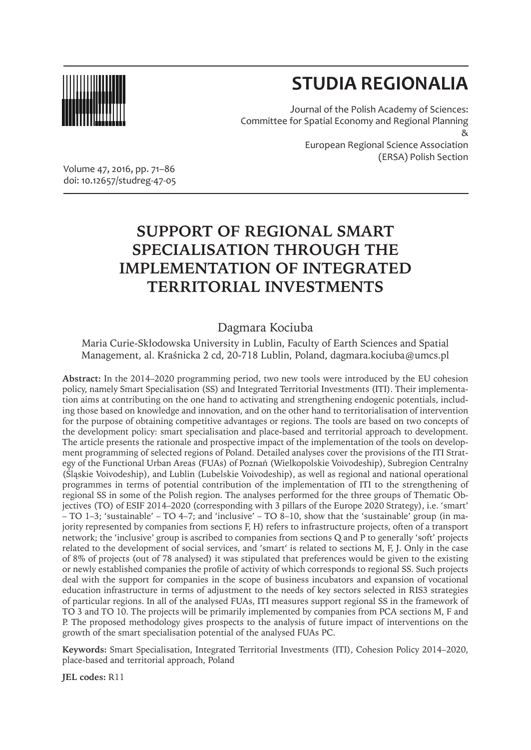

# **STUDIA REGIONALIA**

(ERSA) Polish Section

Journal of the Polish Academy of Sciences: Committee for Spatial Economy and Regional Planning & European Regional Science Association

Volume 47, 2016, pp. 71–86 doi: 10.12657/studreg-47-05

## **SUPPORT OF REGIONAL SMART SPECIALISATION THROUGH THE IMPLEMENTATION OF INTEGRATED TERRITORIAL INVESTMENTS**

## Dagmara Kociuba

Maria Curie-Skłodowska University in Lublin, Faculty of Earth Sciences and Spatial Management, al. Kraśnicka 2 cd, 20-718 Lublin, Poland, dagmara.kociuba@umcs.pl

**Abstract:** In the 2014–2020 programming period, two new tools were introduced by the EU cohesion policy, namely Smart Specialisation (SS) and Integrated Territorial Investments (ITI). Their implementation aims at contributing on the one hand to activating and strengthening endogenic potentials, including those based on knowledge and innovation, and on the other hand to territorialisation of intervention for the purpose of obtaining competitive advantages or regions. The tools are based on two concepts of the development policy: smart specialisation and place-based and territorial approach to development. The article presents the rationale and prospective impact of the implementation of the tools on development programming of selected regions of Poland. Detailed analyses cover the provisions of the ITI Strategy of the Functional Urban Areas (FUAs) of Poznań (Wielkopolskie Voivodeship), Subregion Centralny (Śląskie Voivodeship), and Lublin (Lubelskie Voivodeship), as well as regional and national operational programmes in terms of potential contribution of the implementation of ITI to the strengthening of regional SS in some of the Polish region. The analyses performed for the three groups of Thematic Objectives (TO) of ESIF 2014–2020 (corresponding with 3 pillars of the Europe 2020 Strategy), i.e. 'smart'  $-$  TO 1–3; 'sustainable' – TO 4–7; and 'inclusive' – TO 8–10, show that the 'sustainable' group (in majority represented by companies from sections F, H) refers to infrastructure projects, often of a transport network; the 'inclusive' group is ascribed to companies from sections Q and P to generally 'soft' projects related to the development of social services, and 'smart' is related to sections M, F, J. Only in the case of 8% of projects (out of 78 analysed) it was stipulated that preferences would be given to the existing or newly established companies the profile of activity of which corresponds to regional SS. Such projects deal with the support for companies in the scope of business incubators and expansion of vocational education infrastructure in terms of adjustment to the needs of key sectors selected in RIS3 strategies of particular regions. In all of the analysed FUAs, ITI measures support regional SS in the framework of TO 3 and TO 10. The projects will be primarily implemented by companies from PCA sections M, F and P. The proposed methodology gives prospects to the analysis of future impact of interventions on the growth of the smart specialisation potential of the analysed FUAs PC.

**Keywords:** Smart Specialisation, Integrated Territorial Investments (ITI), Cohesion Policy 2014–2020, place-based and territorial approach, Poland

**JEL codes:** R11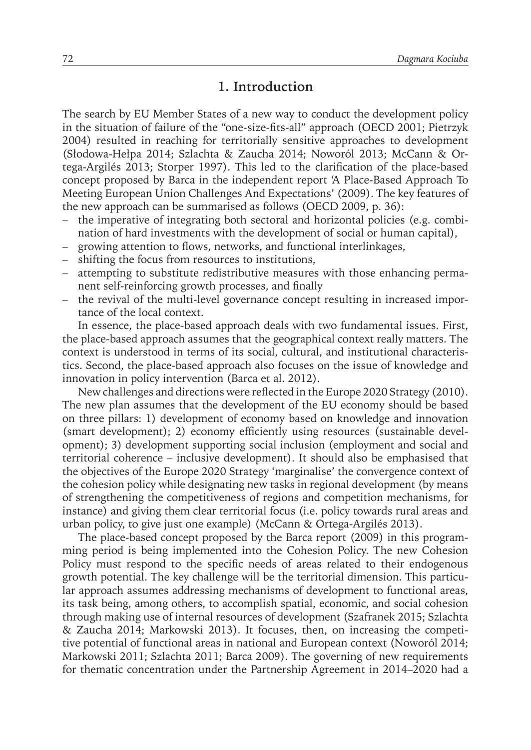## **1. Introduction**

The search by EU Member States of a new way to conduct the development policy in the situation of failure of the "one-size-fits-all" approach (OECD 2001; Pietrzyk 2004) resulted in reaching for territorially sensitive approaches to development (Słodowa-Hełpa 2014; Szlachta & Zaucha 2014; Noworól 2013; McCann & Ortega-Argilés 2013; Storper 1997). This led to the clarification of the place-based concept proposed by Barca in the independent report 'A Place-Based Approach To Meeting European Union Challenges And Expectations' (2009). The key features of the new approach can be summarised as follows (OECD 2009, p. 36):

- the imperative of integrating both sectoral and horizontal policies (e.g. combination of hard investments with the development of social or human capital),
- growing attention to flows, networks, and functional interlinkages,
- shifting the focus from resources to institutions,
- attempting to substitute redistributive measures with those enhancing permanent self-reinforcing growth processes, and finally
- the revival of the multi-level governance concept resulting in increased importance of the local context.

In essence, the place-based approach deals with two fundamental issues. First, the place-based approach assumes that the geographical context really matters. The context is understood in terms of its social, cultural, and institutional characteristics. Second, the place-based approach also focuses on the issue of knowledge and innovation in policy intervention (Barca et al. 2012).

New challenges and directions were reflected in the Europe 2020 Strategy (2010). The new plan assumes that the development of the EU economy should be based on three pillars: 1) development of economy based on knowledge and innovation (smart development); 2) economy efficiently using resources (sustainable development); 3) development supporting social inclusion (employment and social and territorial coherence – inclusive development). It should also be emphasised that the objectives of the Europe 2020 Strategy 'marginalise' the convergence context of the cohesion policy while designating new tasks in regional development (by means of strengthening the competitiveness of regions and competition mechanisms, for instance) and giving them clear territorial focus (i.e. policy towards rural areas and urban policy, to give just one example) (McCann & Ortega-Argilés 2013).

The place-based concept proposed by the Barca report (2009) in this programming period is being implemented into the Cohesion Policy. The new Cohesion Policy must respond to the specific needs of areas related to their endogenous growth potential. The key challenge will be the territorial dimension. This particular approach assumes addressing mechanisms of development to functional areas, its task being, among others, to accomplish spatial, economic, and social cohesion through making use of internal resources of development (Szafranek 2015; Szlachta & Zaucha 2014; Markowski 2013). It focuses, then, on increasing the competitive potential of functional areas in national and European context (Noworól 2014; Markowski 2011; Szlachta 2011; Barca 2009). The governing of new requirements for thematic concentration under the Partnership Agreement in 2014–2020 had a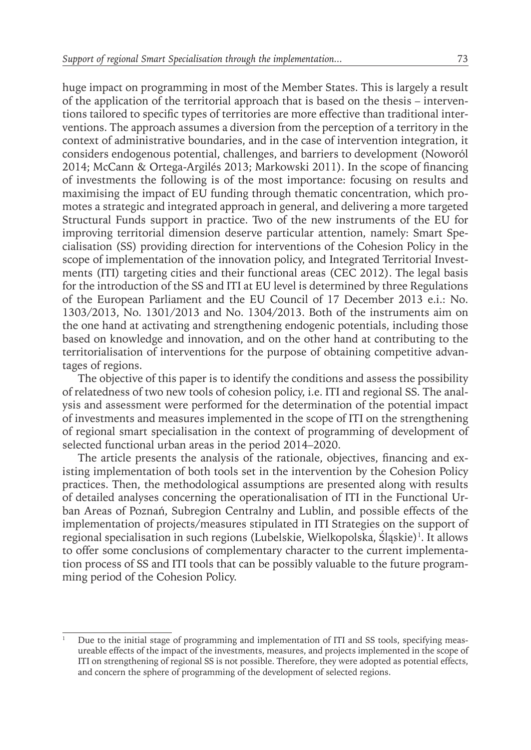huge impact on programming in most of the Member States. This is largely a result of the application of the territorial approach that is based on the thesis – interventions tailored to specific types of territories are more effective than traditional interventions. The approach assumes a diversion from the perception of a territory in the context of administrative boundaries, and in the case of intervention integration, it considers endogenous potential, challenges, and barriers to development (Noworól 2014; McCann & Ortega-Argilés 2013; Markowski 2011). In the scope of financing of investments the following is of the most importance: focusing on results and maximising the impact of EU funding through thematic concentration, which promotes a strategic and integrated approach in general, and delivering a more targeted Structural Funds support in practice. Two of the new instruments of the EU for improving territorial dimension deserve particular attention, namely: Smart Specialisation (SS) providing direction for interventions of the Cohesion Policy in the scope of implementation of the innovation policy, and Integrated Territorial Investments (ITI) targeting cities and their functional areas (CEC 2012). The legal basis for the introduction of the SS and ITI at EU level is determined by three Regulations of the European Parliament and the EU Council of 17 December 2013 e.i.: No. 1303/2013, No. 1301/2013 and No. 1304/2013. Both of the instruments aim on the one hand at activating and strengthening endogenic potentials, including those based on knowledge and innovation, and on the other hand at contributing to the territorialisation of interventions for the purpose of obtaining competitive advantages of regions.

The objective of this paper is to identify the conditions and assess the possibility of relatedness of two new tools of cohesion policy, i.e. ITI and regional SS. The analysis and assessment were performed for the determination of the potential impact of investments and measures implemented in the scope of ITI on the strengthening of regional smart specialisation in the context of programming of development of selected functional urban areas in the period 2014–2020.

The article presents the analysis of the rationale, objectives, financing and existing implementation of both tools set in the intervention by the Cohesion Policy practices. Then, the methodological assumptions are presented along with results of detailed analyses concerning the operationalisation of ITI in the Functional Urban Areas of Poznań, Subregion Centralny and Lublin, and possible effects of the implementation of projects/measures stipulated in ITI Strategies on the support of regional specialisation in such regions (Lubelskie, Wielkopolska, Sląskie)<sup>1</sup>. It allows to offer some conclusions of complementary character to the current implementation process of SS and ITI tools that can be possibly valuable to the future programming period of the Cohesion Policy.

<sup>1</sup> Due to the initial stage of programming and implementation of ITI and SS tools, specifying measureable effects of the impact of the investments, measures, and projects implemented in the scope of ITI on strengthening of regional SS is not possible. Therefore, they were adopted as potential effects, and concern the sphere of programming of the development of selected regions.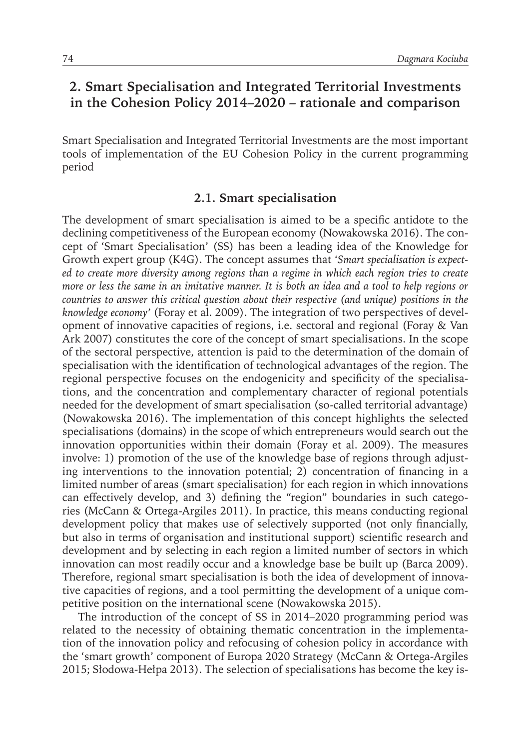## **2. Smart Specialisation and Integrated Territorial Investments in the Cohesion Policy 2014–2020 – rationale and comparison**

Smart Specialisation and Integrated Territorial Investments are the most important tools of implementation of the EU Cohesion Policy in the current programming period

#### **2.1. Smart specialisation**

The development of smart specialisation is aimed to be a specific antidote to the declining competitiveness of the European economy (Nowakowska 2016). The concept of 'Smart Specialisation' (SS) has been a leading idea of the Knowledge for Growth expert group (K4G). The concept assumes that *'Smart specialisation is expected to create more diversity among regions than a regime in which each region tries to create more or less the same in an imitative manner. It is both an idea and a tool to help regions or countries to answer this critical question about their respective (and unique) positions in the knowledge economy'* (Foray et al. 2009). The integration of two perspectives of development of innovative capacities of regions, i.e. sectoral and regional (Foray & Van Ark 2007) constitutes the core of the concept of smart specialisations. In the scope of the sectoral perspective, attention is paid to the determination of the domain of specialisation with the identification of technological advantages of the region. The regional perspective focuses on the endogenicity and specificity of the specialisations, and the concentration and complementary character of regional potentials needed for the development of smart specialisation (so-called territorial advantage) (Nowakowska 2016). The implementation of this concept highlights the selected specialisations (domains) in the scope of which entrepreneurs would search out the innovation opportunities within their domain (Foray et al. 2009). The measures involve: 1) promotion of the use of the knowledge base of regions through adjusting interventions to the innovation potential; 2) concentration of financing in a limited number of areas (smart specialisation) for each region in which innovations can effectively develop, and 3) defining the "region" boundaries in such categories (McCann & Ortega-Argiles 2011). In practice, this means conducting regional development policy that makes use of selectively supported (not only financially, but also in terms of organisation and institutional support) scientific research and development and by selecting in each region a limited number of sectors in which innovation can most readily occur and a knowledge base be built up (Barca 2009). Therefore, regional smart specialisation is both the idea of development of innovative capacities of regions, and a tool permitting the development of a unique competitive position on the international scene (Nowakowska 2015).

The introduction of the concept of SS in 2014–2020 programming period was related to the necessity of obtaining thematic concentration in the implementation of the innovation policy and refocusing of cohesion policy in accordance with the 'smart growth' component of Europa 2020 Strategy (McCann & Ortega-Argiles 2015; Słodowa-Hełpa 2013). The selection of specialisations has become the key is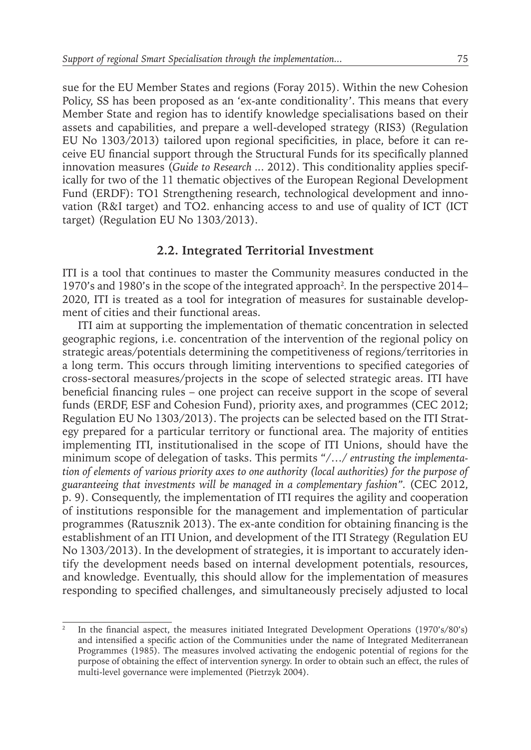sue for the EU Member States and regions (Foray 2015). Within the new Cohesion Policy, SS has been proposed as an 'ex-ante conditionality'. This means that every Member State and region has to identify knowledge specialisations based on their assets and capabilities, and prepare a well-developed strategy (RIS3) (Regulation EU No 1303/2013) tailored upon regional specificities*,* in place, before it can receive EU financial support through the Structural Funds for its specifically planned innovation measures (*Guide to Research ..*. 2012). This conditionality applies specifically for two of the 11 thematic objectives of the European Regional Development Fund (ERDF): TO1 Strengthening research, technological development and innovation (R&I target) and TO2. enhancing access to and use of quality of ICT (ICT target) (Regulation EU No 1303/2013).

#### **2.2. Integrated Territorial Investment**

ITI is a tool that continues to master the Community measures conducted in the 1970's and 1980's in the scope of the integrated approach<sup>2</sup>. In the perspective 2014– 2020, ITI is treated as a tool for integration of measures for sustainable development of cities and their functional areas.

ITI aim at supporting the implementation of thematic concentration in selected geographic regions, i.e. concentration of the intervention of the regional policy on strategic areas/potentials determining the competitiveness of regions/territories in a long term. This occurs through limiting interventions to specified categories of cross-sectoral measures/projects in the scope of selected strategic areas. ITI have beneficial financing rules – one project can receive support in the scope of several funds (ERDF, ESF and Cohesion Fund), priority axes, and programmes (CEC 2012; Regulation EU No 1303/2013). The projects can be selected based on the ITI Strategy prepared for a particular territory or functional area. The majority of entities implementing ITI, institutionalised in the scope of ITI Unions, should have the minimum scope of delegation of tasks. This permits "/…/ *entrusting the implementation of elements of various priority axes to one authority (local authorities) for the purpose of guaranteeing that investments will be managed in a complementary fashion".* (CEC 2012, p. 9). Consequently, the implementation of ITI requires the agility and cooperation of institutions responsible for the management and implementation of particular programmes (Ratusznik 2013). The ex-ante condition for obtaining financing is the establishment of an ITI Union, and development of the ITI Strategy (Regulation EU No 1303/2013). In the development of strategies, it is important to accurately identify the development needs based on internal development potentials, resources, and knowledge. Eventually, this should allow for the implementation of measures responding to specified challenges, and simultaneously precisely adjusted to local

<sup>2</sup> In the financial aspect, the measures initiated Integrated Development Operations (1970's/80's) and intensified a specific action of the Communities under the name of Integrated Mediterranean Programmes (1985). The measures involved activating the endogenic potential of regions for the purpose of obtaining the effect of intervention synergy. In order to obtain such an effect, the rules of multi-level governance were implemented (Pietrzyk 2004).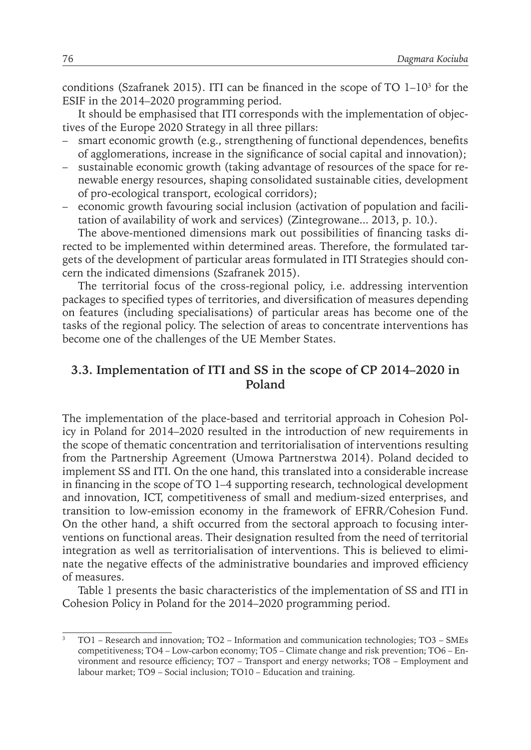conditions (Szafranek 2015). ITI can be financed in the scope of TO  $1-10<sup>3</sup>$  for the ESIF in the 2014–2020 programming period.

It should be emphasised that ITI corresponds with the implementation of objectives of the Europe 2020 Strategy in all three pillars:

- smart economic growth (e.g., strengthening of functional dependences, benefits of agglomerations, increase in the significance of social capital and innovation);
- sustainable economic growth (taking advantage of resources of the space for renewable energy resources, shaping consolidated sustainable cities, development of pro-ecological transport, ecological corridors);
- economic growth favouring social inclusion (activation of population and facilitation of availability of work and services) (Zintegrowane... 2013, p. 10.).

The above-mentioned dimensions mark out possibilities of financing tasks directed to be implemented within determined areas. Therefore, the formulated targets of the development of particular areas formulated in ITI Strategies should concern the indicated dimensions (Szafranek 2015).

The territorial focus of the cross-regional policy, i.e. addressing intervention packages to specified types of territories, and diversification of measures depending on features (including specialisations) of particular areas has become one of the tasks of the regional policy. The selection of areas to concentrate interventions has become one of the challenges of the UE Member States.

### **3.3. Implementation of ITI and SS in the scope of CP 2014–2020 in Poland**

The implementation of the place-based and territorial approach in Cohesion Policy in Poland for 2014–2020 resulted in the introduction of new requirements in the scope of thematic concentration and territorialisation of interventions resulting from the Partnership Agreement (Umowa Partnerstwa 2014). Poland decided to implement SS and ITI. On the one hand, this translated into a considerable increase in financing in the scope of TO 1–4 supporting research, technological development and innovation, ICT, competitiveness of small and medium-sized enterprises, and transition to low-emission economy in the framework of EFRR/Cohesion Fund. On the other hand, a shift occurred from the sectoral approach to focusing interventions on functional areas. Their designation resulted from the need of territorial integration as well as territorialisation of interventions. This is believed to eliminate the negative effects of the administrative boundaries and improved efficiency of measures.

Table 1 presents the basic characteristics of the implementation of SS and ITI in Cohesion Policy in Poland for the 2014–2020 programming period.

<sup>3</sup> TO1 – Research and innovation; TO2 – Information and communication technologies; TO3 – SMEs competitiveness; TO4 – Low-carbon economy; TO5 – Climate change and risk prevention; TO6 – Environment and resource efficiency; TO7 – Transport and energy networks; TO8 – Employment and labour market; TO9 – Social inclusion; TO10 – Education and training.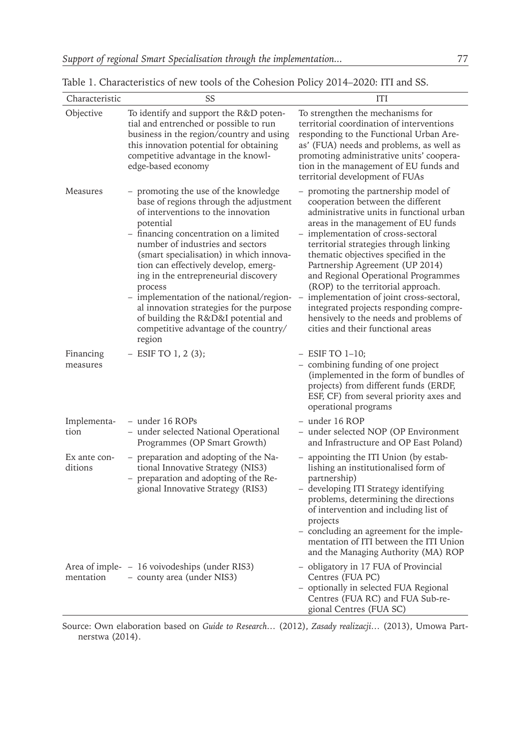| Characteristic          | SS                                                                                                                                                                                                                                                                                                                                                                                                                                                                                                                                      | ITI                                                                                                                                                                                                                                                                                                                                                                                                                                                                                                                                                                      |  |  |  |  |  |  |  |
|-------------------------|-----------------------------------------------------------------------------------------------------------------------------------------------------------------------------------------------------------------------------------------------------------------------------------------------------------------------------------------------------------------------------------------------------------------------------------------------------------------------------------------------------------------------------------------|--------------------------------------------------------------------------------------------------------------------------------------------------------------------------------------------------------------------------------------------------------------------------------------------------------------------------------------------------------------------------------------------------------------------------------------------------------------------------------------------------------------------------------------------------------------------------|--|--|--|--|--|--|--|
| Objective               | To identify and support the R&D poten-<br>tial and entrenched or possible to run<br>business in the region/country and using<br>this innovation potential for obtaining<br>competitive advantage in the knowl-<br>edge-based economy                                                                                                                                                                                                                                                                                                    | To strengthen the mechanisms for<br>territorial coordination of interventions<br>responding to the Functional Urban Are-<br>as' (FUA) needs and problems, as well as<br>promoting administrative units' coopera-<br>tion in the management of EU funds and<br>territorial development of FUAs                                                                                                                                                                                                                                                                            |  |  |  |  |  |  |  |
| Measures                | - promoting the use of the knowledge<br>base of regions through the adjustment<br>of interventions to the innovation<br>potential<br>- financing concentration on a limited<br>number of industries and sectors<br>(smart specialisation) in which innova-<br>tion can effectively develop, emerg-<br>ing in the entrepreneurial discovery<br>process<br>- implementation of the national/region-<br>al innovation strategies for the purpose<br>of building the R&D&I potential and<br>competitive advantage of the country/<br>region | - promoting the partnership model of<br>cooperation between the different<br>administrative units in functional urban<br>areas in the management of EU funds<br>- implementation of cross-sectoral<br>territorial strategies through linking<br>thematic objectives specified in the<br>Partnership Agreement (UP 2014)<br>and Regional Operational Programmes<br>(ROP) to the territorial approach.<br>implementation of joint cross-sectoral,<br>integrated projects responding compre-<br>hensively to the needs and problems of<br>cities and their functional areas |  |  |  |  |  |  |  |
| Financing<br>measures   | - ESIF TO 1, 2 (3);                                                                                                                                                                                                                                                                                                                                                                                                                                                                                                                     | $-$ ESIF TO 1-10;<br>- combining funding of one project<br>(implemented in the form of bundles of<br>projects) from different funds (ERDF,<br>ESF, CF) from several priority axes and<br>operational programs                                                                                                                                                                                                                                                                                                                                                            |  |  |  |  |  |  |  |
| Implementa-<br>tion     | - under 16 ROPs<br>- under selected National Operational<br>Programmes (OP Smart Growth)                                                                                                                                                                                                                                                                                                                                                                                                                                                | - under 16 ROP<br>- under selected NOP (OP Environment<br>and Infrastructure and OP East Poland)                                                                                                                                                                                                                                                                                                                                                                                                                                                                         |  |  |  |  |  |  |  |
| Ex ante con-<br>ditions | - preparation and adopting of the Na-<br>tional Innovative Strategy (NIS3)<br>- preparation and adopting of the Re-<br>gional Innovative Strategy (RIS3)                                                                                                                                                                                                                                                                                                                                                                                | - appointing the ITI Union (by estab-<br>lishing an institutionalised form of<br>partnership)<br>- developing ITI Strategy identifying<br>problems, determining the directions<br>of intervention and including list of<br>projects<br>- concluding an agreement for the imple-<br>mentation of ITI between the ITI Union<br>and the Managing Authority (MA) ROP                                                                                                                                                                                                         |  |  |  |  |  |  |  |
| mentation               | Area of imple- - 16 voivodeships (under RIS3)<br>- county area (under NIS3)                                                                                                                                                                                                                                                                                                                                                                                                                                                             | - obligatory in 17 FUA of Provincial<br>Centres (FUA PC)<br>- optionally in selected FUA Regional<br>Centres (FUA RC) and FUA Sub-re-<br>gional Centres (FUA SC)                                                                                                                                                                                                                                                                                                                                                                                                         |  |  |  |  |  |  |  |

Table 1. Characteristics of new tools of the Cohesion Policy 2014–2020: ITI and SS.

Source: Own elaboration based on *Guide to Research…* (2012), *Zasady realizacji…* (2013), Umowa Partnerstwa (2014).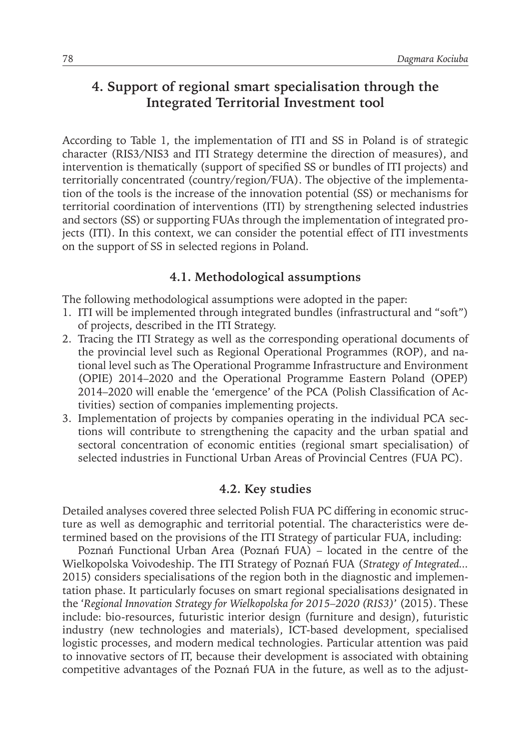## **4. Support of regional smart specialisation through the Integrated Territorial Investment tool**

According to Table 1, the implementation of ITI and SS in Poland is of strategic character (RIS3/NIS3 and ITI Strategy determine the direction of measures), and intervention is thematically (support of specified SS or bundles of ITI projects) and territorially concentrated (country/region/FUA). The objective of the implementation of the tools is the increase of the innovation potential (SS) or mechanisms for territorial coordination of interventions (ITI) by strengthening selected industries and sectors (SS) or supporting FUAs through the implementation of integrated projects (ITI). In this context, we can consider the potential effect of ITI investments on the support of SS in selected regions in Poland.

## **4.1. Methodological assumptions**

The following methodological assumptions were adopted in the paper:

- 1. ITI will be implemented through integrated bundles (infrastructural and "soft") of projects, described in the ITI Strategy.
- 2. Tracing the ITI Strategy as well as the corresponding operational documents of the provincial level such as Regional Operational Programmes (ROP), and national level such as The Operational Programme Infrastructure and Environment (OPIE) 2014–2020 and the Operational Programme Eastern Poland (OPEP) 2014–2020 will enable the 'emergence' of the PCA (Polish Classification of Activities) section of companies implementing projects.
- 3. Implementation of projects by companies operating in the individual PCA sections will contribute to strengthening the capacity and the urban spatial and sectoral concentration of economic entities (regional smart specialisation) of selected industries in Functional Urban Areas of Provincial Centres (FUA PC).

#### **4.2. Key studies**

Detailed analyses covered three selected Polish FUA PC differing in economic structure as well as demographic and territorial potential. The characteristics were determined based on the provisions of the ITI Strategy of particular FUA, including:

Poznań Functional Urban Area (Poznań FUA) – located in the centre of the Wielkopolska Voivodeship. The ITI Strategy of Poznań FUA (*Strategy of Integrated...* 2015) considers specialisations of the region both in the diagnostic and implementation phase. It particularly focuses on smart regional specialisations designated in the '*Regional Innovation Strategy for Wielkopolska for 2015–2020 (RIS3)*' (2015). These include: bio-resources, futuristic interior design (furniture and design), futuristic industry (new technologies and materials), ICT-based development, specialised logistic processes, and modern medical technologies. Particular attention was paid to innovative sectors of IT, because their development is associated with obtaining competitive advantages of the Poznań FUA in the future, as well as to the adjust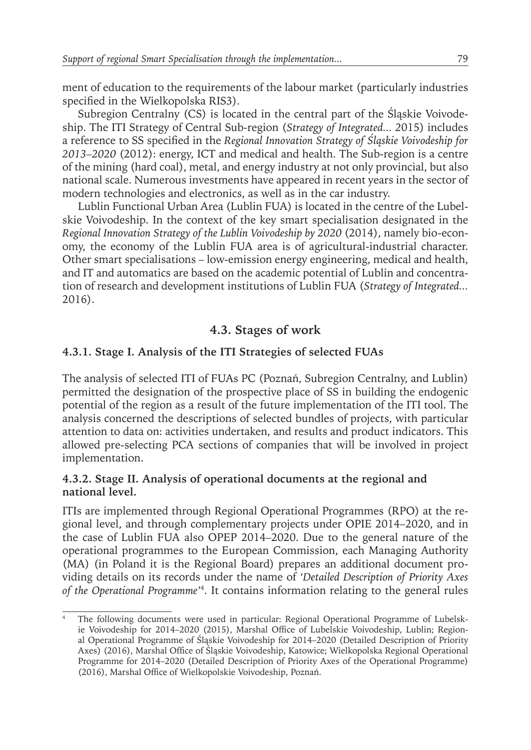ment of education to the requirements of the labour market (particularly industries specified in the Wielkopolska RIS3).

Subregion Centralny (CS) is located in the central part of the Śląskie Voivodeship. The ITI Strategy of Central Sub-region (*Strategy of Integrated... 2*015) includes a reference to SS specified in the *Regional Innovation Strategy of Śląskie Voivodeship for 2013–2020* (2012): energy, ICT and medical and health. The Sub-region is a centre of the mining (hard coal), metal, and energy industry at not only provincial, but also national scale. Numerous investments have appeared in recent years in the sector of modern technologies and electronics, as well as in the car industry.

Lublin Functional Urban Area (Lublin FUA) is located in the centre of the Lubelskie Voivodeship. In the context of the key smart specialisation designated in the *Regional Innovation Strategy of the Lublin Voivodeship by 2020* (2014), namely bio-economy, the economy of the Lublin FUA area is of agricultural-industrial character. Other smart specialisations – low-emission energy engineering, medical and health, and IT and automatics are based on the academic potential of Lublin and concentration of research and development institutions of Lublin FUA (*Strategy of Integrated...* 2016).

## **4.3. Stages of work**

## **4.3.1. Stage I. Analysis of the ITI Strategies of selected FUAs**

The analysis of selected ITI of FUAs PC (Poznań, Subregion Centralny, and Lublin) permitted the designation of the prospective place of SS in building the endogenic potential of the region as a result of the future implementation of the ITI tool. The analysis concerned the descriptions of selected bundles of projects, with particular attention to data on: activities undertaken, and results and product indicators. This allowed pre-selecting PCA sections of companies that will be involved in project implementation.

#### **4.3.2. Stage II. Analysis of operational documents at the regional and national level.**

ITIs are implemented through Regional Operational Programmes (RPO) at the regional level, and through complementary projects under OPIE 2014–2020, and in the case of Lublin FUA also OPEP 2014–2020. Due to the general nature of the operational programmes to the European Commission, each Managing Authority (MA) (in Poland it is the Regional Board) prepares an additional document providing details on its records under the name of *'Detailed Description of Priority Axes of the Operational Programme'*<sup>4</sup> . It contains information relating to the general rules

<sup>4</sup> The following documents were used in particular: Regional Operational Programme of Lubelskie Voivodeship for 2014–2020 (2015), Marshal Office of Lubelskie Voivodeship, Lublin; Regional Operational Programme of Śląskie Voivodeship for 2014–2020 (Detailed Description of Priority Axes) (2016), Marshal Office of Śląskie Voivodeship, Katowice; Wielkopolska Regional Operational Programme for 2014–2020 (Detailed Description of Priority Axes of the Operational Programme) (2016), Marshal Office of Wielkopolskie Voivodeship, Poznań.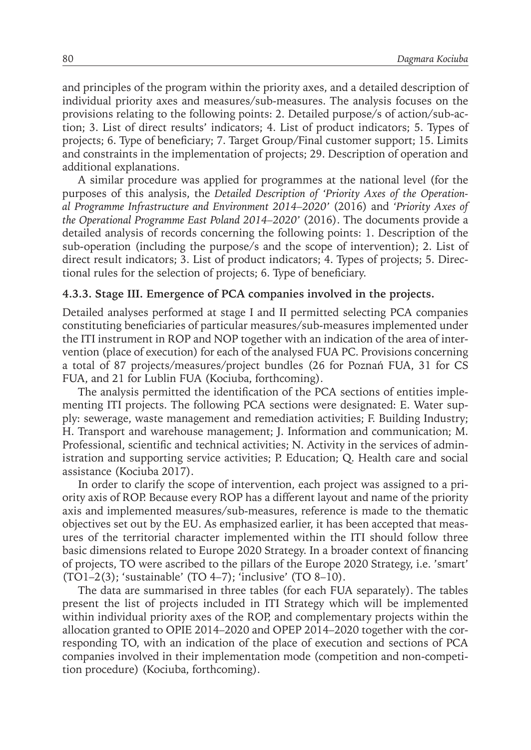and principles of the program within the priority axes, and a detailed description of individual priority axes and measures/sub-measures. The analysis focuses on the provisions relating to the following points: 2. Detailed purpose/s of action/sub-action; 3. List of direct results' indicators; 4. List of product indicators; 5. Types of projects; 6. Type of beneficiary; 7. Target Group/Final customer support; 15. Limits and constraints in the implementation of projects; 29. Description of operation and additional explanations.

A similar procedure was applied for programmes at the national level (for the purposes of this analysis, the *Detailed Description of 'Priority Axes of the Operational Programme Infrastructure and Environment 2014–2020'* (2016) and *'Priority Axes of the Operational Programme East Poland 2014–2020'* (2016). The documents provide a detailed analysis of records concerning the following points: 1. Description of the sub-operation (including the purpose/s and the scope of intervention); 2. List of direct result indicators; 3. List of product indicators; 4. Types of projects; 5. Directional rules for the selection of projects; 6. Type of beneficiary.

#### **4.3.3. Stage III. Emergence of PCA companies involved in the projects.**

Detailed analyses performed at stage I and II permitted selecting PCA companies constituting beneficiaries of particular measures/sub-measures implemented under the ITI instrument in ROP and NOP together with an indication of the area of intervention (place of execution) for each of the analysed FUA PC. Provisions concerning a total of 87 projects/measures/project bundles (26 for Poznań FUA, 31 for CS FUA, and 21 for Lublin FUA (Kociuba, forthcoming).

The analysis permitted the identification of the PCA sections of entities implementing ITI projects. The following PCA sections were designated: E. Water supply: sewerage, waste management and remediation activities; F. Building Industry; H. Transport and warehouse management; J. Information and communication; M. Professional, scientific and technical activities; N. Activity in the services of administration and supporting service activities; P. Education; Q. Health care and social assistance (Kociuba 2017).

In order to clarify the scope of intervention, each project was assigned to a priority axis of ROP. Because every ROP has a different layout and name of the priority axis and implemented measures/sub-measures, reference is made to the thematic objectives set out by the EU. As emphasized earlier, it has been accepted that measures of the territorial character implemented within the ITI should follow three basic dimensions related to Europe 2020 Strategy. In a broader context of financing of projects, TO were ascribed to the pillars of the Europe 2020 Strategy, i.e. 'smart' (TO1–2(3); 'sustainable' (TO 4–7); 'inclusive' (TO 8–10).

The data are summarised in three tables (for each FUA separately). The tables present the list of projects included in ITI Strategy which will be implemented within individual priority axes of the ROP, and complementary projects within the allocation granted to OPIE 2014–2020 and OPEP 2014–2020 together with the corresponding TO, with an indication of the place of execution and sections of PCA companies involved in their implementation mode (competition and non-competition procedure) (Kociuba, forthcoming).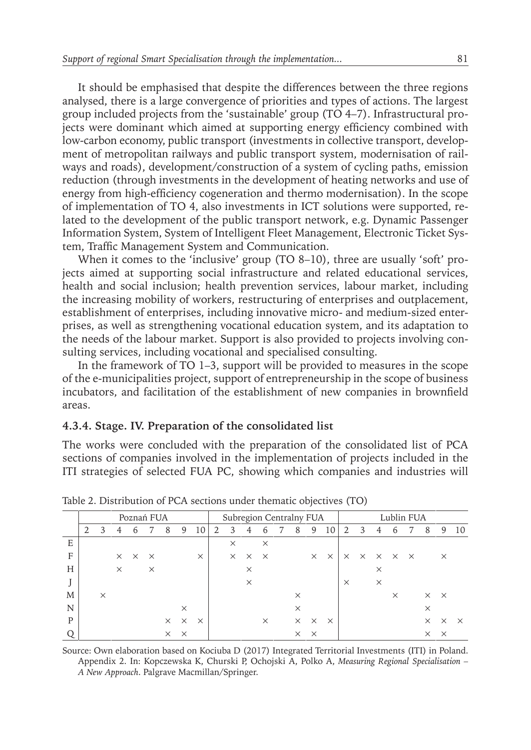It should be emphasised that despite the differences between the three regions analysed, there is a large convergence of priorities and types of actions. The largest group included projects from the 'sustainable' group (TO 4–7). Infrastructural projects were dominant which aimed at supporting energy efficiency combined with low-carbon economy, public transport (investments in collective transport, development of metropolitan railways and public transport system, modernisation of railways and roads), development/construction of a system of cycling paths, emission reduction (through investments in the development of heating networks and use of energy from high-efficiency cogeneration and thermo modernisation). In the scope of implementation of TO 4, also investments in ICT solutions were supported, related to the development of the public transport network, e.g. Dynamic Passenger Information System, System of Intelligent Fleet Management, Electronic Ticket System, Traffic Management System and Communication.

When it comes to the 'inclusive' group (TO 8–10), three are usually 'soft' projects aimed at supporting social infrastructure and related educational services, health and social inclusion; health prevention services, labour market, including the increasing mobility of workers, restructuring of enterprises and outplacement, establishment of enterprises, including innovative micro- and medium-sized enterprises, as well as strengthening vocational education system, and its adaptation to the needs of the labour market. Support is also provided to projects involving consulting services, including vocational and specialised consulting.

In the framework of TO 1–3, support will be provided to measures in the scope of the e-municipalities project, support of entrepreneurship in the scope of business incubators, and facilitation of the establishment of new companies in brownfield areas.

#### **4.3.4. Stage. IV. Preparation of the consolidated list**

The works were concluded with the preparation of the consolidated list of PCA sections of companies involved in the implementation of projects included in the ITI strategies of selected FUA PC, showing which companies and industries will

|   | Poznań FUA |          |          |                            |          |          |          | Subregion Centralny FUA |   |          |          |               |  |          |          | Lublin FUA |          |                                              |          |               |  |                   |          |          |
|---|------------|----------|----------|----------------------------|----------|----------|----------|-------------------------|---|----------|----------|---------------|--|----------|----------|------------|----------|----------------------------------------------|----------|---------------|--|-------------------|----------|----------|
|   | 2          | 3        | 4        | 6                          |          | 8        | 9        | 10                      | 2 | 3        | 4        | $\mathfrak b$ |  | 8        | 9        | 10         | 2        | 3                                            | 4        | $\mathfrak b$ |  | 8                 | 9        | 10       |
| E |            |          |          |                            |          |          |          |                         |   | $\times$ |          | $\times$      |  |          |          |            |          |                                              |          |               |  |                   |          |          |
| F |            |          |          | $\times$ $\times$ $\times$ |          |          |          | $\times$                |   | $\times$ | $\times$ | $\times$      |  |          | $\times$ | $\times$   |          | $\times$ $\times$ $\times$ $\times$ $\times$ |          |               |  |                   | $\times$ |          |
| H |            |          | $\times$ |                            | $\times$ |          |          |                         |   |          | $\times$ |               |  |          |          |            |          |                                              | $\times$ |               |  |                   |          |          |
|   |            |          |          |                            |          |          |          |                         |   |          | $\times$ |               |  |          |          |            | $\times$ |                                              | $\times$ |               |  |                   |          |          |
| M |            | $\times$ |          |                            |          |          |          |                         |   |          |          |               |  | $\times$ |          |            |          |                                              |          | $\times$      |  | $\times$ $\times$ |          |          |
| N |            |          |          |                            |          |          | $\times$ |                         |   |          |          |               |  | $\times$ |          |            |          |                                              |          |               |  | $\times$          |          |          |
| P |            |          |          |                            |          | $\times$ | $\times$ | $\times$                |   |          |          | $\times$      |  | $\times$ | $\times$ | $\times$   |          |                                              |          |               |  | $\times$          | $\times$ | $\times$ |
|   |            |          |          |                            |          | $\times$ | $\times$ |                         |   |          |          |               |  | $\times$ | $\times$ |            |          |                                              |          |               |  | $\times$          | $\times$ |          |

Table 2. Distribution of PCA sections under thematic objectives (TO)

Source: Own elaboration based on Kociuba D (2017) Integrated Territorial Investments (ITI) in Poland. Appendix 2. In: Kopczewska K, Churski P, Ochojski A, Polko A, *Measuring Regional Specialisation – A New Approach*. Palgrave Macmillan/Springer.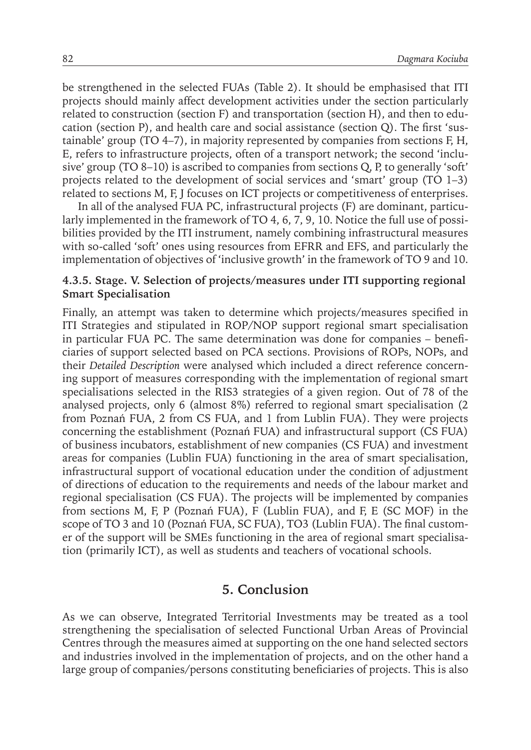be strengthened in the selected FUAs (Table 2). It should be emphasised that ITI projects should mainly affect development activities under the section particularly related to construction (section F) and transportation (section H), and then to education (section P), and health care and social assistance (section Q). The first 'sustainable' group (TO 4–7), in majority represented by companies from sections F, H, E, refers to infrastructure projects, often of a transport network; the second 'inclusive' group (TO 8–10) is ascribed to companies from sections Q, P, to generally 'soft' projects related to the development of social services and 'smart' group (TO 1–3) related to sections M, F, J focuses on ICT projects or competitiveness of enterprises.

In all of the analysed FUA PC, infrastructural projects (F) are dominant, particularly implemented in the framework of TO 4, 6, 7, 9, 10. Notice the full use of possibilities provided by the ITI instrument, namely combining infrastructural measures with so-called 'soft' ones using resources from EFRR and EFS, and particularly the implementation of objectives of 'inclusive growth' in the framework of TO 9 and 10.

#### **4.3.5. Stage. V. Selection of projects/measures under ITI supporting regional Smart Specialisation**

Finally, an attempt was taken to determine which projects/measures specified in ITI Strategies and stipulated in ROP/NOP support regional smart specialisation in particular FUA PC. The same determination was done for companies – beneficiaries of support selected based on PCA sections. Provisions of ROPs, NOPs, and their *Detailed Description* were analysed which included a direct reference concerning support of measures corresponding with the implementation of regional smart specialisations selected in the RIS3 strategies of a given region. Out of 78 of the analysed projects, only 6 (almost 8%) referred to regional smart specialisation (2 from Poznań FUA, 2 from CS FUA, and 1 from Lublin FUA). They were projects concerning the establishment (Poznań FUA) and infrastructural support (CS FUA) of business incubators, establishment of new companies (CS FUA) and investment areas for companies (Lublin FUA) functioning in the area of smart specialisation, infrastructural support of vocational education under the condition of adjustment of directions of education to the requirements and needs of the labour market and regional specialisation (CS FUA). The projects will be implemented by companies from sections M, F, P (Poznań FUA), F (Lublin FUA), and F, E (SC MOF) in the scope of TO 3 and 10 (Poznań FUA, SC FUA), TO3 (Lublin FUA). The final customer of the support will be SMEs functioning in the area of regional smart specialisation (primarily ICT), as well as students and teachers of vocational schools.

#### **5. Conclusion**

As we can observe, Integrated Territorial Investments may be treated as a tool strengthening the specialisation of selected Functional Urban Areas of Provincial Centres through the measures aimed at supporting on the one hand selected sectors and industries involved in the implementation of projects, and on the other hand a large group of companies/persons constituting beneficiaries of projects. This is also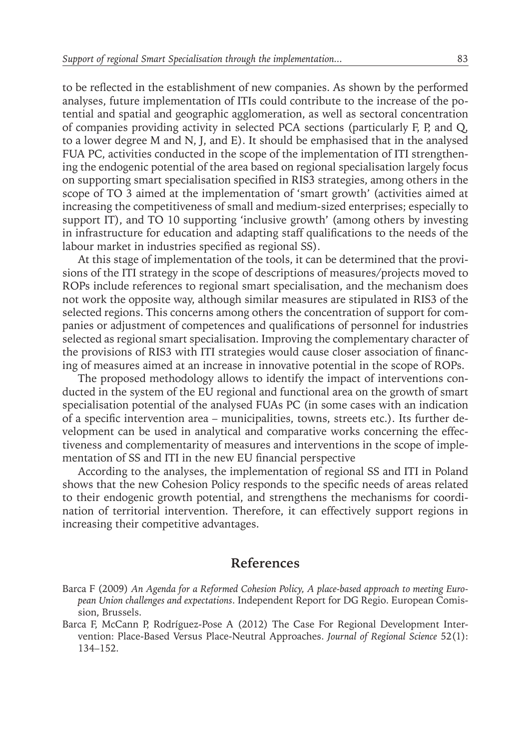to be reflected in the establishment of new companies. As shown by the performed analyses, future implementation of ITIs could contribute to the increase of the potential and spatial and geographic agglomeration, as well as sectoral concentration of companies providing activity in selected PCA sections (particularly F, P, and Q, to a lower degree M and N, J, and E). It should be emphasised that in the analysed FUA PC, activities conducted in the scope of the implementation of ITI strengthening the endogenic potential of the area based on regional specialisation largely focus on supporting smart specialisation specified in RIS3 strategies, among others in the scope of TO 3 aimed at the implementation of 'smart growth' (activities aimed at increasing the competitiveness of small and medium-sized enterprises; especially to support IT), and TO 10 supporting 'inclusive growth' (among others by investing in infrastructure for education and adapting staff qualifications to the needs of the labour market in industries specified as regional SS).

At this stage of implementation of the tools, it can be determined that the provisions of the ITI strategy in the scope of descriptions of measures/projects moved to ROPs include references to regional smart specialisation, and the mechanism does not work the opposite way, although similar measures are stipulated in RIS3 of the selected regions. This concerns among others the concentration of support for companies or adjustment of competences and qualifications of personnel for industries selected as regional smart specialisation. Improving the complementary character of the provisions of RIS3 with ITI strategies would cause closer association of financing of measures aimed at an increase in innovative potential in the scope of ROPs.

The proposed methodology allows to identify the impact of interventions conducted in the system of the EU regional and functional area on the growth of smart specialisation potential of the analysed FUAs PC (in some cases with an indication of a specific intervention area – municipalities, towns, streets etc.). Its further development can be used in analytical and comparative works concerning the effectiveness and complementarity of measures and interventions in the scope of implementation of SS and ITI in the new EU financial perspective

According to the analyses, the implementation of regional SS and ITI in Poland shows that the new Cohesion Policy responds to the specific needs of areas related to their endogenic growth potential, and strengthens the mechanisms for coordination of territorial intervention. Therefore, it can effectively support regions in increasing their competitive advantages.

#### **References**

Barca F (2009) *An Agenda for a Reformed Cohesion Policy, A place-based approach to meeting European Union challenges and expectations*. Independent Report for DG Regio. European Comission, Brussels.

Barca F, McCann P, Rodríguez-Pose A (2012) The Case For Regional Development Intervention: Place-Based Versus Place-Neutral Approaches. *Journal of Regional Science* 52(1): 134–152.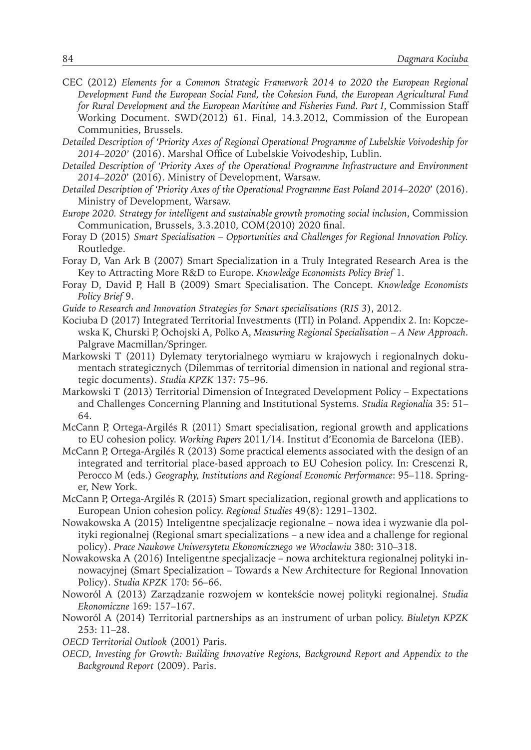- CEC (2012) *Elements for a Common Strategic Framework 2014 to 2020 the European Regional Development Fund the European Social Fund, the Cohesion Fund, the European Agricultural Fund for Rural Development and the European Maritime and Fisheries Fund. Part I*, Commission Staff Working Document. SWD(2012) 61. Final, 14.3.2012, Commission of the European Communities, Brussels.
- *Detailed Description of 'Priority Axes of Regional Operational Programme of Lubelskie Voivodeship for 2014–2020'* (2016). Marshal Office of Lubelskie Voivodeship, Lublin.
- *Detailed Description of 'Priority Axes of the Operational Programme Infrastructure and Environment 2014–2020*' (2016). Ministry of Development, Warsaw.
- *Detailed Description of 'Priority Axes of the Operational Programme East Poland 2014–2020*' (2016). Ministry of Development, Warsaw.
- *Europe 2020. Strategy for intelligent and sustainable growth promoting social inclusion*, Commission Communication, Brussels, 3.3.2010, COM(2010) 2020 final.
- Foray D (2015) *Smart Specialisation Opportunities and Challenges for Regional Innovation Policy.* Routledge.
- Foray D, Van Ark B (2007) Smart Specialization in a Truly Integrated Research Area is the Key to Attracting More R&D to Europe. *Knowledge Economists Policy Brief* 1.
- Foray D, David P, Hall B (2009) Smart Specialisation. The Concept*. Knowledge Economists Policy Brief* 9.
- *Guide to Research and Innovation Strategies for Smart specialisations (RIS 3*), 2012.
- Kociuba D (2017) Integrated Territorial Investments (ITI) in Poland. Appendix 2. In: Kopczewska K, Churski P, Ochojski A, Polko A, *Measuring Regional Specialisation – A New Approach*. Palgrave Macmillan/Springer.
- Markowski T (2011) Dylematy terytorialnego wymiaru w krajowych i regionalnych dokumentach strategicznych (Dilemmas of territorial dimension in national and regional strategic documents). *Studia KPZK* 137: 75–96.
- Markowski T (2013) Territorial Dimension of Integrated Development Policy Expectations and Challenges Concerning Planning and Institutional Systems. *Studia Regionalia* 35: 51– 64.
- McCann P, Ortega-Argilés R (2011) Smart specialisation, regional growth and applications to EU cohesion policy. *Working Papers* 2011/14. Institut d'Economia de Barcelona (IEB).
- McCann P, Ortega-Argilés R (2013) Some practical elements associated with the design of an integrated and territorial place-based approach to EU Cohesion policy. In: Crescenzi R, Perocco M (eds.) *Geography, Institutions and Regional Economic Performance*: 95–118. Springer, New York.
- McCann P, Ortega-Argilés R (2015) Smart specialization, regional growth and applications to European Union cohesion policy. *Regional Studies* 49(8): 1291–1302.
- Nowakowska A (2015) Inteligentne specjalizacje regionalne nowa idea i wyzwanie dla polityki regionalnej (Regional smart specializations – a new idea and a challenge for regional policy). *Prace Naukowe Uniwersytetu Ekonomicznego we Wrocławiu* 380: 310–318.
- Nowakowska A (2016) Inteligentne specjalizacje nowa architektura regionalnej polityki innowacyjnej (Smart Specialization – Towards a New Architecture for Regional Innovation Policy). *Studia KPZK* 170: 56–66.
- Noworól A (2013) Zarządzanie rozwojem w kontekście nowej polityki regionalnej. *Studia Ekonomiczne* 169: 157–167.
- Noworól A (2014) Territorial partnerships as an instrument of urban policy. *Biuletyn KPZK* 253: 11–28.
- *OECD Territorial Outlook* (2001) Paris.
- *OECD, Investing for Growth: Building Innovative Regions, Background Report and Appendix to the Background Report* (2009). Paris.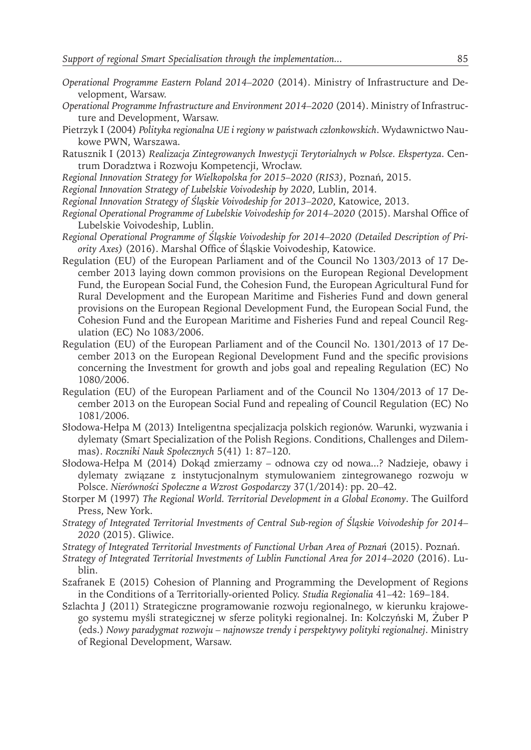- *Operational Programme Eastern Poland 2014–2020* (2014). Ministry of Infrastructure and Development, Warsaw.
- *Operational Programme Infrastructure and Environment 2014–2020* (2014). Ministry of Infrastructure and Development, Warsaw.
- Pietrzyk I (2004) *Polityka regionalna UE i regiony w państwach członkowskich*. Wydawnictwo Naukowe PWN, Warszawa.
- Ratusznik I (2013) *Realizacja Zintegrowanych Inwestycji Terytorialnych w Polsce. Ekspertyza*. Centrum Doradztwa i Rozwoju Kompetencji, Wrocław.
- *Regional Innovation Strategy for Wielkopolska for 2015–2020 (RIS3)*, Poznań, 2015.
- *Regional Innovation Strategy of Lubelskie Voivodeship by 2020*, Lublin, 2014.
- *Regional Innovation Strategy of Śląskie Voivodeship for 2013–2020*, Katowice, 2013.
- *Regional Operational Programme of Lubelskie Voivodeship for 2014–2020* (2015). Marshal Office of Lubelskie Voivodeship, Lublin.
- *Regional Operational Programme of Śląskie Voivodeship for 2014–2020 (Detailed Description of Priority Axes)* (2016). Marshal Office of Śląskie Voivodeship, Katowice.
- Regulation (EU) of the European Parliament and of the Council No 1303/2013 of 17 December 2013 laying down common provisions on the European Regional Development Fund, the European Social Fund, the Cohesion Fund, the European Agricultural Fund for Rural Development and the European Maritime and Fisheries Fund and down general provisions on the European Regional Development Fund, the European Social Fund, the Cohesion Fund and the European Maritime and Fisheries Fund and repeal Council Regulation (EC) No 1083/2006.
- Regulation (EU) of the European Parliament and of the Council No. 1301/2013 of 17 December 2013 on the European Regional Development Fund and the specific provisions concerning the Investment for growth and jobs goal and repealing Regulation (EC) No 1080/2006.
- Regulation (EU) of the European Parliament and of the Council No 1304/2013 of 17 December 2013 on the European Social Fund and repealing of Council Regulation (EC) No 1081/2006.
- Słodowa-Hełpa M (2013) Inteligentna specjalizacja polskich regionów. Warunki, wyzwania i dylematy (Smart Specialization of the Polish Regions. Conditions, Challenges and Dilemmas). *Roczniki Nauk Społecznych* 5(41) 1: 87–120.
- Słodowa-Hełpa M (2014) Dokąd zmierzamy odnowa czy od nowa...? Nadzieje, obawy i dylematy związane z instytucjonalnym stymulowaniem zintegrowanego rozwoju w Polsce. *Nierówności Społeczne a Wzrost Gospodarczy* 37(1/2014): pp. 20–42.
- Storper M (1997) *The Regional World. Territorial Development in a Global Economy*. The Guilford Press, New York.
- *Strategy of Integrated Territorial Investments of Central Sub-region of Śląskie Voivodeship for 2014– 2020* (2015). Gliwice.
- *Strategy of Integrated Territorial Investments of Functional Urban Area of Poznań* (2015). Poznań.
- *Strategy of Integrated Territorial Investments of Lublin Functional Area for 2014–2020* (2016). Lublin.
- Szafranek E (2015) Cohesion of Planning and Programming the Development of Regions in the Conditions of a Territorially-oriented Policy. *Studia Regionalia* 41–42: 169–184.
- Szlachta J (2011) Strategiczne programowanie rozwoju regionalnego, w kierunku krajowego systemu myśli strategicznej w sferze polityki regionalnej. In: Kolczyński M, Żuber P (eds.) *Nowy paradygmat rozwoju – najnowsze trendy i perspektywy polityki regionalnej*. Ministry of Regional Development, Warsaw.